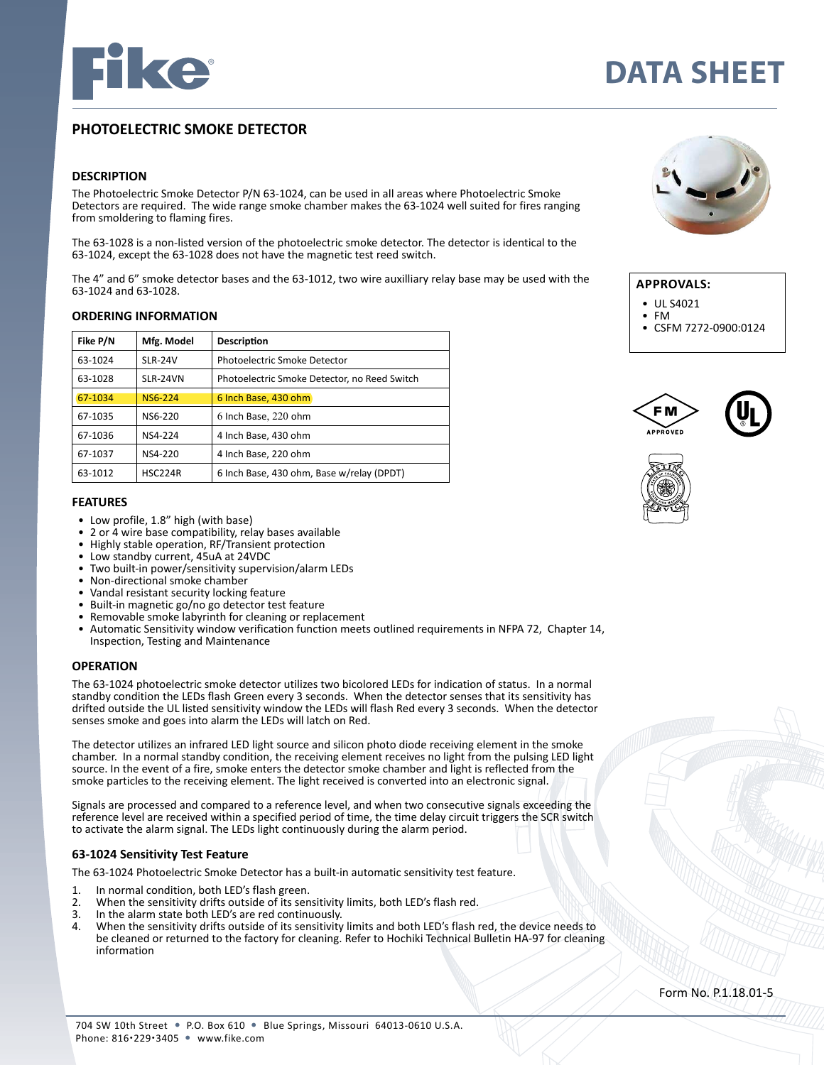

# **DATA SHEET**

# **PHOTOELECTRIC SMOKE DETECTOR**

# **DESCRIPTION**

The Photoelectric Smoke Detector P/N 63-1024, can be used in all areas where Photoelectric Smoke Detectors are required. The wide range smoke chamber makes the 63-1024 well suited for fires ranging from smoldering to flaming fires.

The 63-1028 is a non-listed version of the photoelectric smoke detector. The detector is identical to the 63-1024, except the 63-1028 does not have the magnetic test reed switch.

The 4" and 6" smoke detector bases and the 63-1012, two wire auxilliary relay base may be used with the 63-1024 and 63-1028.

#### **ORDERING INFORMATION**

| Fike P/N | Mfg. Model     | <b>Description</b>                           |
|----------|----------------|----------------------------------------------|
| 63-1024  | <b>SLR-24V</b> | Photoelectric Smoke Detector                 |
| 63-1028  | SLR-24VN       | Photoelectric Smoke Detector, no Reed Switch |
| 67-1034  | <b>NS6-224</b> | 6 Inch Base, 430 ohm                         |
| 67-1035  | NS6-220        | 6 Inch Base, 220 ohm                         |
| 67-1036  | NS4-224        | 4 Inch Base, 430 ohm                         |
| 67-1037  | NS4-220        | 4 Inch Base, 220 ohm                         |
| 63-1012  | HSC224R        | 6 Inch Base, 430 ohm, Base w/relay (DPDT)    |

### **FEATURES**

- Low profile, 1.8" high (with base)
- 2 or 4 wire base compatibility, relay bases available
- Highly stable operation, RF/Transient protection
- Low standby current, 45uA at 24VDC
- Two built-in power/sensitivity supervision/alarm LEDs
- Non-directional smoke chamber
- Vandal resistant security locking feature
- Built-in magnetic go/no go detector test feature
- Removable smoke labyrinth for cleaning or replacement
- Automatic Sensitivity window verification function meets outlined requirements in NFPA 72, Chapter 14, Inspection, Testing and Maintenance

#### **OPERATION**

The 63-1024 photoelectric smoke detector utilizes two bicolored LEDs for indication of status. In a normal standby condition the LEDs flash Green every 3 seconds. When the detector senses that its sensitivity has drifted outside the UL listed sensitivity window the LEDs will flash Red every 3 seconds. When the detector senses smoke and goes into alarm the LEDs will latch on Red.

The detector utilizes an infrared LED light source and silicon photo diode receiving element in the smoke chamber. In a normal standby condition, the receiving element receives no light from the pulsing LED light source. In the event of a fire, smoke enters the detector smoke chamber and light is reflected from the smoke particles to the receiving element. The light received is converted into an electronic signal.

Signals are processed and compared to a reference level, and when two consecutive signals exceeding the reference level are received within a specified period of time, the time delay circuit triggers the SCR switch to activate the alarm signal. The LEDs light continuously during the alarm period.

#### **63-1024 Sensitivity Test Feature**

The 63-1024 Photoelectric Smoke Detector has a built-in automatic sensitivity test feature.

- 1. In normal condition, both LED's flash green.<br>2. When the sensitivity drifts outside of its sen
- 2. When the sensitivity drifts outside of its sensitivity limits, both LED's flash red.<br>3. In the alarm state both LED's are red continuously
- 3. In the alarm state both LED's are red continuously.
- When the sensitivity drifts outside of its sensitivity limits and both LED's flash red, the device needs to be cleaned or returned to the factory for cleaning. Refer to Hochiki Technical Bulletin HA-97 for cleaning information



# **APPROVALS:**

- 
- 
- UL S4021 FM CSFM 7272-0900:0124